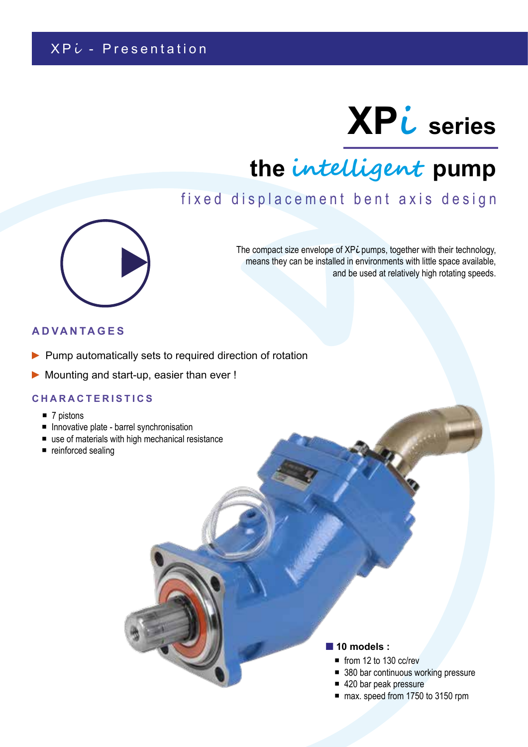# **XPi series**

## **the intelligent pump**

## fixed displacement bent axis design



The compact size envelope of XP*i* pumps, together with their technology, means they can be installed in environments with little space available, and be used at relatively high rotating speeds.

#### **ADVANTAGES**

- ▶ Pump automatically sets to required direction of rotation
- ► Mounting and start-up, easier than ever !

#### **CHARACTERISTICS**

- $\blacksquare$  7 pistons
- **Innovative plate barrel synchronisation**
- use of materials with high mechanical resistance
- reinforced sealing

#### **10 models :**

- from 12 to 130 cc/rev
- 380 bar continuous working pressure
- 420 bar peak pressure
- max. speed from 1750 to 3150 rpm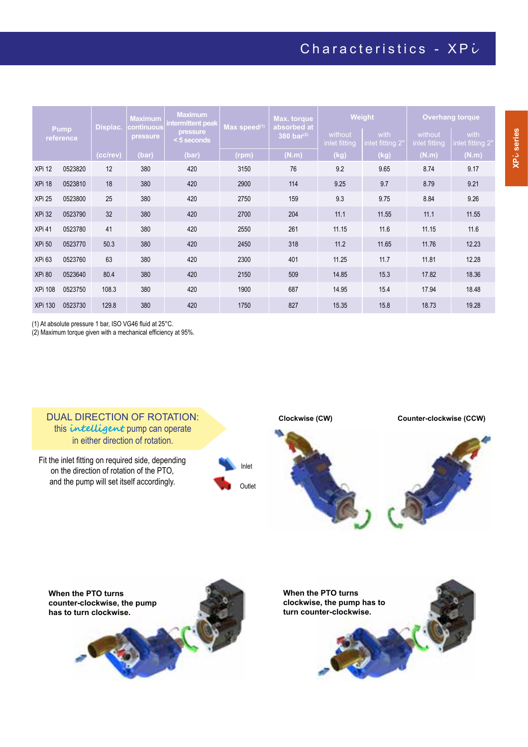## Characteristics -  $XPU$

| <b>Pump</b><br>reference |         | Displac. | <b>Maximum</b><br>continuous | <b>Maximum</b><br><u>intermittent peak</u> | Max speed(1) | Max. torque<br>absorbed at<br>380 bar $(2)$ | Weight                   |                          | <b>Overhang torque</b>   |                          |
|--------------------------|---------|----------|------------------------------|--------------------------------------------|--------------|---------------------------------------------|--------------------------|--------------------------|--------------------------|--------------------------|
|                          |         |          | pressure                     | <b>pressure</b><br><5 seconds              |              |                                             | without<br>inlet fitting | with<br>inlet fitting 2" | without<br>inlet fitting | with<br>inlet fitting 2" |
|                          |         | (cc/rev) | (bar)                        | (bar)                                      | (rpm)        | (N.m)                                       | (kg)                     | (kg)                     | (N.m)                    | (N.m)                    |
| XPi 12                   | 0523820 | 12       | 380                          | 420                                        | 3150         | 76                                          | 9.2                      | 9.65                     | 8.74                     | 9.17                     |
| XPi 18                   | 0523810 | 18       | 380                          | 420                                        | 2900         | 114                                         | 9.25                     | 9.7                      | 8.79                     | 9.21                     |
| XPi 25                   | 0523800 | 25       | 380                          | 420                                        | 2750         | 159                                         | 9.3                      | 9.75                     | 8.84                     | 9.26                     |
| <b>XPi 32</b>            | 0523790 | 32       | 380                          | 420                                        | 2700         | 204                                         | 11.1                     | 11.55                    | 11.1                     | 11.55                    |
| XPi 41                   | 0523780 | 41       | 380                          | 420                                        | 2550         | 261                                         | 11.15                    | 11.6                     | 11.15                    | 11.6                     |
| <b>XPi 50</b>            | 0523770 | 50.3     | 380                          | 420                                        | 2450         | 318                                         | 11.2                     | 11.65                    | 11.76                    | 12.23                    |
| XPi <sub>63</sub>        | 0523760 | 63       | 380                          | 420                                        | 2300         | 401                                         | 11.25                    | 11.7                     | 11.81                    | 12.28                    |
| XPi 80                   | 0523640 | 80.4     | 380                          | 420                                        | 2150         | 509                                         | 14.85                    | 15.3                     | 17.82                    | 18.36                    |
| <b>XPi 108</b>           | 0523750 | 108.3    | 380                          | 420                                        | 1900         | 687                                         | 14.95                    | 15.4                     | 17.94                    | 18.48                    |
| <b>XPi 130</b>           | 0523730 | 129.8    | 380                          | 420                                        | 1750         | 827                                         | 15.35                    | 15.8                     | 18.73                    | 19.28                    |

(1) At absolute pressure 1 bar, ISO VG46 fluid at 25°C.

(2) Maximum torque given with a mechanical efficiency at 95%.



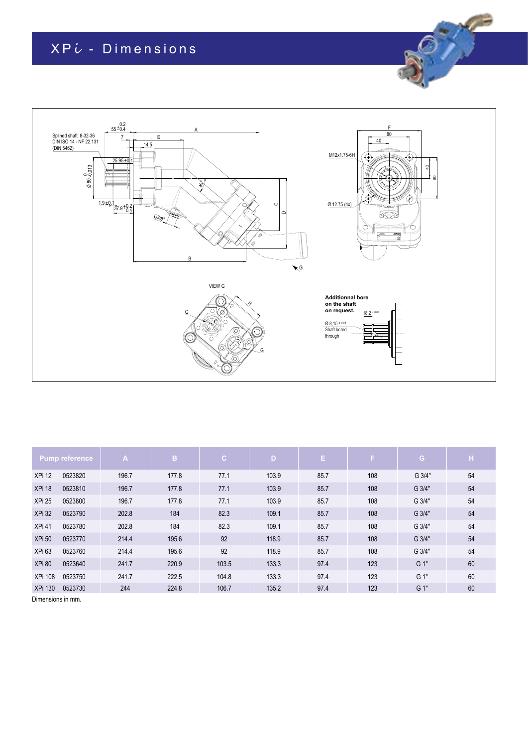## $XPU - Dimenisions$



|                   | <b>Pump reference</b> | $\mathbf{A}$ | B.    | $\mathbf{C}$ | $\overline{D}$ | Е.   | F.  | G.     | н  |
|-------------------|-----------------------|--------------|-------|--------------|----------------|------|-----|--------|----|
| XPi 12            | 0523820               | 196.7        | 177.8 | 77.1         | 103.9          | 85.7 | 108 | G 3/4" | 54 |
| XPi 18            | 0523810               | 196.7        | 177.8 | 77.1         | 103.9          | 85.7 | 108 | G 3/4" | 54 |
| XPi 25            | 0523800               | 196.7        | 177.8 | 77.1         | 103.9          | 85.7 | 108 | G 3/4" | 54 |
| XPi 32            | 0523790               | 202.8        | 184   | 82.3         | 109.1          | 85.7 | 108 | G 3/4" | 54 |
| XPi 41            | 0523780               | 202.8        | 184   | 82.3         | 109.1          | 85.7 | 108 | G 3/4" | 54 |
| <b>XPi 50</b>     | 0523770               | 214.4        | 195.6 | 92           | 118.9          | 85.7 | 108 | G 3/4" | 54 |
| XPi <sub>63</sub> | 0523760               | 214.4        | 195.6 | 92           | 118.9          | 85.7 | 108 | G 3/4" | 54 |
| XPi 80            | 0523640               | 241.7        | 220.9 | 103.5        | 133.3          | 97.4 | 123 | $G1$ " | 60 |
| <b>XPi 108</b>    | 0523750               | 241.7        | 222.5 | 104.8        | 133.3          | 97.4 | 123 | G 1"   | 60 |
| <b>XPi 130</b>    | 0523730               | 244          | 224.8 | 106.7        | 135.2          | 97.4 | 123 | $G1$ " | 60 |

Dimensions in mm.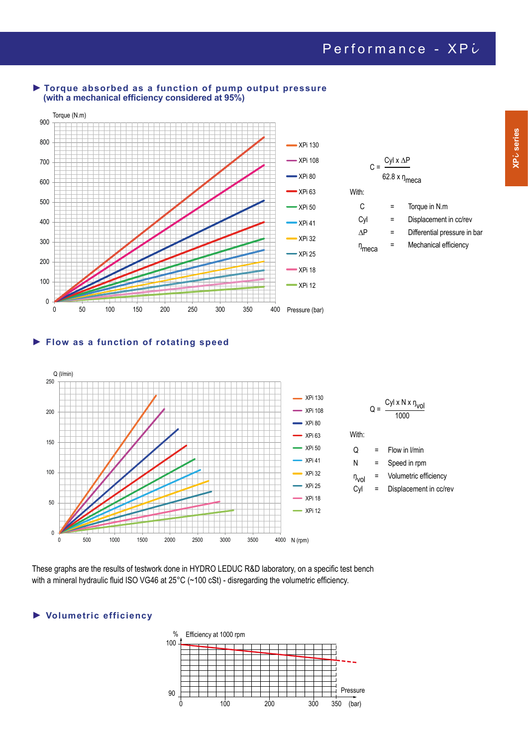

#### **► Torque absorbed as a function of pump output pressure (with a mechanical efficiency considered at 95%)**

#### **► Flow as a function of rotating speed**



These graphs are the results of testwork done in HYDRO LEDUC R&D laboratory, on a specific test bench with a mineral hydraulic fluid ISO VG46 at 25°C (~100 cSt) - disregarding the volumetric efficiency.

#### **► Volumetric efficiency**

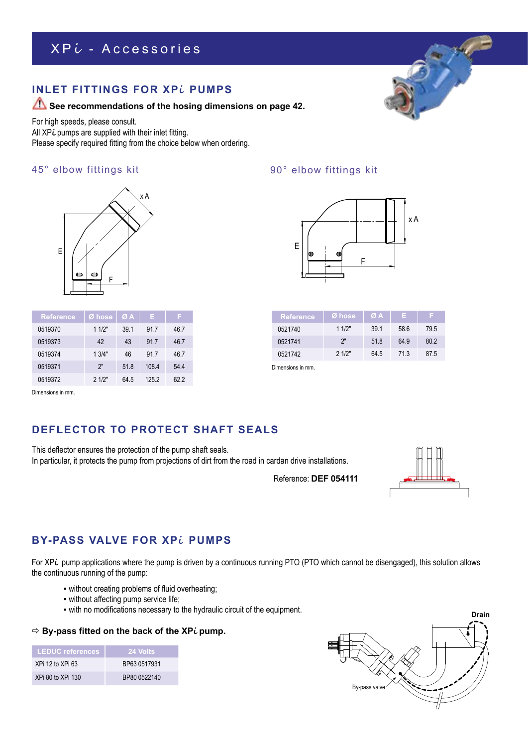## XPL - Accessories

#### **INLET FITTINGS FOR XPi PUMPS**

#### **See recommendations of the hosing dimensions on page 42.**

For high speeds, please consult. All XP**i** pumps are supplied with their inlet fitting. Please specify required fitting from the choice below when ordering.

#### x A 45° elbow fittings kit 90° elbow fittings kit



| <b>Reference</b> | Ø hose | ØA   | Е.    | F.   |
|------------------|--------|------|-------|------|
| 0519370          | 11/2"  | 39.1 | 91.7  | 46.7 |
| 0519373          | 42     | 43   | 91.7  | 46.7 |
| 0519374          | 13/4"  | 46   | 917   | 46.7 |
| 0519371          | 2"     | 51.8 | 108.4 | 544  |
| 0519372          | 21/2"  | 64.5 | 1252  | 622  |



| Reference | lØ hose' | ØA              | F.   |      |
|-----------|----------|-----------------|------|------|
| 0521740   | 11/2"    | 39 <sub>1</sub> | 58.6 | 79.5 |
| 0521741   | 2"       | 518             | 64.9 | 80.2 |
| 0521742   | 21/2"    | 64.5            | 713  | 87.5 |

Dimensions in mm.

Dimensions in mm.

### **DEFLECTOR TO PROTECT SHAFT SEALS**

This deflector ensures the protection of the pump shaft seals. In particular, it protects the pump from projections of dirt from the road in cardan drive installations.

Reference: **DEF 054111**



#### **BY-PASS VALVE FOR XPi PUMPS**

For XPi pump applications where the pump is driven by a continuous running PTO (PTO which cannot be disengaged), this solution allows the continuous running of the pump:

- without creating problems of fluid overheating;
- without affecting pump service life;
- with no modifications necessary to the hydraulic circuit of the equipment.

#### **By-pass fitted on the back of the XPi pump.**

| <b>LEDUC</b> references | <b>24 Volts</b> |
|-------------------------|-----------------|
| XPi 12 to XPi 63        | BP63 0517931    |
| XPi 80 to XPi 130       | BP80 0522140    |